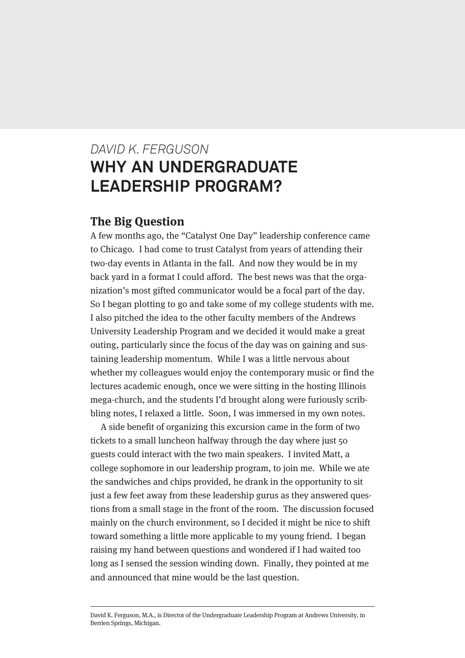# *DAVID K. FERGUSON* **WHY AN UNDERGRADUATE LEADERSHIP PROGRAM?**

## **The Big Question**

A few months ago, the "Catalyst One Day" leadership conference came to Chicago. I had come to trust Catalyst from years of attending their two-day events in Atlanta in the fall. And now they would be in my back yard in a format I could afford. The best news was that the organization's most gifted communicator would be a focal part of the day. So I began plotting to go and take some of my college students with me. I also pitched the idea to the other faculty members of the Andrews University Leadership Program and we decided it would make a great outing, particularly since the focus of the day was on gaining and sustaining leadership momentum. While I was a little nervous about whether my colleagues would enjoy the contemporary music or find the lectures academic enough, once we were sitting in the hosting Illinois mega-church, and the students I'd brought along were furiously scribbling notes, I relaxed a little. Soon, I was immersed in my own notes.

A side benefit of organizing this excursion came in the form of two tickets to a small luncheon halfway through the day where just 50 guests could interact with the two main speakers. I invited Matt, a college sophomore in our leadership program, to join me. While we ate the sandwiches and chips provided, he drank in the opportunity to sit just a few feet away from these leadership gurus as they answered questions from a small stage in the front of the room. The discussion focused mainly on the church environment, so I decided it might be nice to shift toward something a little more applicable to my young friend. I began raising my hand between questions and wondered if I had waited too long as I sensed the session winding down. Finally, they pointed at me and announced that mine would be the last question.

David K. Ferguson, M.A., is Director of the Undergraduate Leadership Program at Andrews University, in Berrien Springs, Michigan.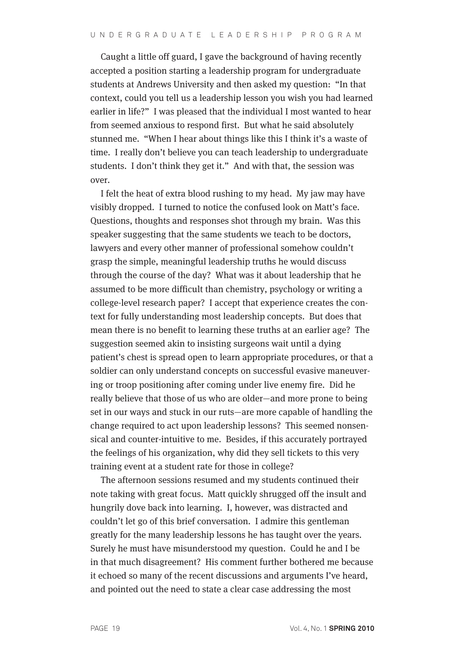Caught a little off guard, I gave the background of having recently accepted a position starting a leadership program for undergraduate students at Andrews University and then asked my question: "In that context, could you tell us a leadership lesson you wish you had learned earlier in life?" I was pleased that the individual I most wanted to hear from seemed anxious to respond first. But what he said absolutely stunned me. "When I hear about things like this I think it's a waste of time. I really don't believe you can teach leadership to undergraduate students. I don't think they get it." And with that, the session was over.

I felt the heat of extra blood rushing to my head. My jaw may have visibly dropped. I turned to notice the confused look on Matt's face. Questions, thoughts and responses shot through my brain. Was this speaker suggesting that the same students we teach to be doctors, lawyers and every other manner of professional somehow couldn't grasp the simple, meaningful leadership truths he would discuss through the course of the day? What was it about leadership that he assumed to be more difficult than chemistry, psychology or writing a college-level research paper? I accept that experience creates the context for fully understanding most leadership concepts. But does that mean there is no benefit to learning these truths at an earlier age? The suggestion seemed akin to insisting surgeons wait until a dying patient's chest is spread open to learn appropriate procedures, or that a soldier can only understand concepts on successful evasive maneuvering or troop positioning after coming under live enemy fire. Did he really believe that those of us who are older—and more prone to being set in our ways and stuck in our ruts—are more capable of handling the change required to act upon leadership lessons? This seemed nonsensical and counter-intuitive to me. Besides, if this accurately portrayed the feelings of his organization, why did they sell tickets to this very training event at a student rate for those in college?

The afternoon sessions resumed and my students continued their note taking with great focus. Matt quickly shrugged off the insult and hungrily dove back into learning. I, however, was distracted and couldn't let go of this brief conversation. I admire this gentleman greatly for the many leadership lessons he has taught over the years. Surely he must have misunderstood my question. Could he and I be in that much disagreement? His comment further bothered me because it echoed so many of the recent discussions and arguments I've heard, and pointed out the need to state a clear case addressing the most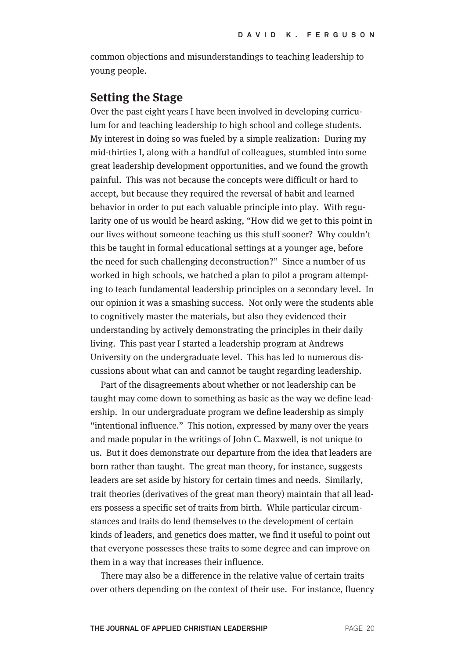common objections and misunderstandings to teaching leadership to young people.

### **Setting the Stage**

Over the past eight years I have been involved in developing curriculum for and teaching leadership to high school and college students. My interest in doing so was fueled by a simple realization: During my mid-thirties I, along with a handful of colleagues, stumbled into some great leadership development opportunities, and we found the growth painful. This was not because the concepts were difficult or hard to accept, but because they required the reversal of habit and learned behavior in order to put each valuable principle into play. With regularity one of us would be heard asking, "How did we get to this point in our lives without someone teaching us this stuff sooner? Why couldn't this be taught in formal educational settings at a younger age, before the need for such challenging deconstruction?" Since a number of us worked in high schools, we hatched a plan to pilot a program attempting to teach fundamental leadership principles on a secondary level. In our opinion it was a smashing success. Not only were the students able to cognitively master the materials, but also they evidenced their understanding by actively demonstrating the principles in their daily living. This past year I started a leadership program at Andrews University on the undergraduate level. This has led to numerous discussions about what can and cannot be taught regarding leadership.

Part of the disagreements about whether or not leadership can be taught may come down to something as basic as the way we define leadership. In our undergraduate program we define leadership as simply "intentional influence." This notion, expressed by many over the years and made popular in the writings of John C. Maxwell, is not unique to us. But it does demonstrate our departure from the idea that leaders are born rather than taught. The great man theory, for instance, suggests leaders are set aside by history for certain times and needs. Similarly, trait theories (derivatives of the great man theory) maintain that all leaders possess a specific set of traits from birth. While particular circumstances and traits do lend themselves to the development of certain kinds of leaders, and genetics does matter, we find it useful to point out that everyone possesses these traits to some degree and can improve on them in a way that increases their influence.

There may also be a difference in the relative value of certain traits over others depending on the context of their use. For instance, fluency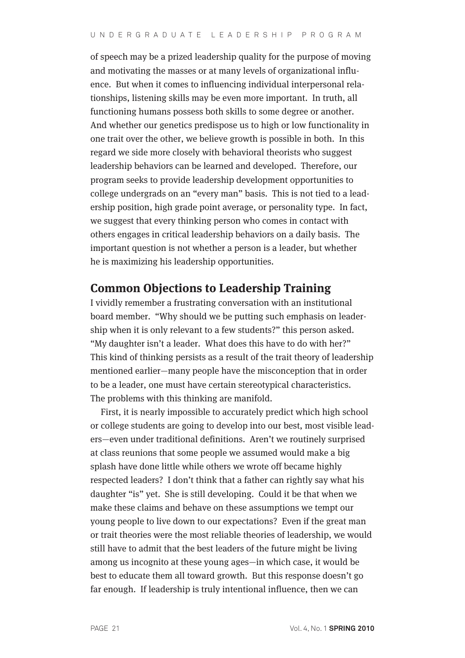of speech may be a prized leadership quality for the purpose of moving and motivating the masses or at many levels of organizational influence. But when it comes to influencing individual interpersonal relationships, listening skills may be even more important. In truth, all functioning humans possess both skills to some degree or another. And whether our genetics predispose us to high or low functionality in one trait over the other, we believe growth is possible in both. In this regard we side more closely with behavioral theorists who suggest leadership behaviors can be learned and developed. Therefore, our program seeks to provide leadership development opportunities to college undergrads on an "every man" basis. This is not tied to a leadership position, high grade point average, or personality type. In fact, we suggest that every thinking person who comes in contact with others engages in critical leadership behaviors on a daily basis. The important question is not whether a person is a leader, but whether he is maximizing his leadership opportunities.

# **Common Objections to Leadership Training**

I vividly remember a frustrating conversation with an institutional board member. "Why should we be putting such emphasis on leadership when it is only relevant to a few students?" this person asked. "My daughter isn't a leader. What does this have to do with her?" This kind of thinking persists as a result of the trait theory of leadership mentioned earlier—many people have the misconception that in order to be a leader, one must have certain stereotypical characteristics. The problems with this thinking are manifold.

First, it is nearly impossible to accurately predict which high school or college students are going to develop into our best, most visible leaders—even under traditional definitions. Aren't we routinely surprised at class reunions that some people we assumed would make a big splash have done little while others we wrote off became highly respected leaders? I don't think that a father can rightly say what his daughter "is" yet. She is still developing. Could it be that when we make these claims and behave on these assumptions we tempt our young people to live down to our expectations? Even if the great man or trait theories were the most reliable theories of leadership, we would still have to admit that the best leaders of the future might be living among us incognito at these young ages—in which case, it would be best to educate them all toward growth. But this response doesn't go far enough. If leadership is truly intentional influence, then we can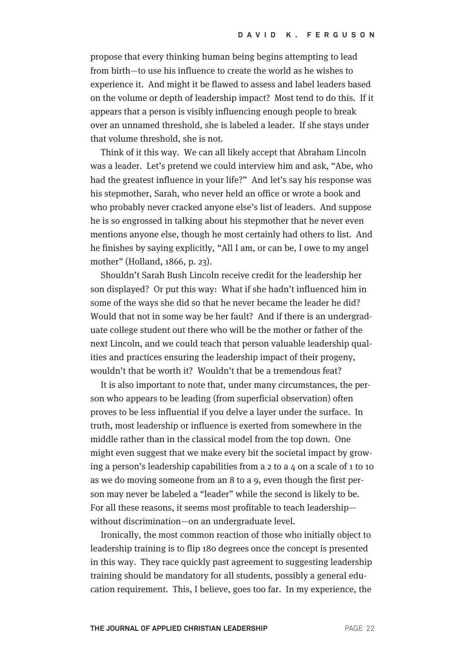propose that every thinking human being begins attempting to lead from birth—to use his influence to create the world as he wishes to experience it. And might it be flawed to assess and label leaders based on the volume or depth of leadership impact? Most tend to do this. If it appears that a person is visibly influencing enough people to break over an unnamed threshold, she is labeled a leader. If she stays under that volume threshold, she is not.

Think of it this way. We can all likely accept that Abraham Lincoln was a leader. Let's pretend we could interview him and ask, "Abe, who had the greatest influence in your life?" And let's say his response was his stepmother, Sarah, who never held an office or wrote a book and who probably never cracked anyone else's list of leaders. And suppose he is so engrossed in talking about his stepmother that he never even mentions anyone else, though he most certainly had others to list. And he finishes by saying explicitly, "All I am, or can be, I owe to my angel mother" (Holland, 1866, p. 23).

Shouldn't Sarah Bush Lincoln receive credit for the leadership her son displayed? Or put this way: What if she hadn't influenced him in some of the ways she did so that he never became the leader he did? Would that not in some way be her fault? And if there is an undergraduate college student out there who will be the mother or father of the next Lincoln, and we could teach that person valuable leadership qualities and practices ensuring the leadership impact of their progeny, wouldn't that be worth it? Wouldn't that be a tremendous feat?

It is also important to note that, under many circumstances, the person who appears to be leading (from superficial observation) often proves to be less influential if you delve a layer under the surface. In truth, most leadership or influence is exerted from somewhere in the middle rather than in the classical model from the top down. One might even suggest that we make every bit the societal impact by growing a person's leadership capabilities from a  $2$  to a  $4$  on a scale of 1 to 10 as we do moving someone from an 8 to a 9, even though the first person may never be labeled a "leader" while the second is likely to be. For all these reasons, it seems most profitable to teach leadership without discrimination—on an undergraduate level.

Ironically, the most common reaction of those who initially object to leadership training is to flip 180 degrees once the concept is presented in this way. They race quickly past agreement to suggesting leadership training should be mandatory for all students, possibly a general education requirement. This, I believe, goes too far. In my experience, the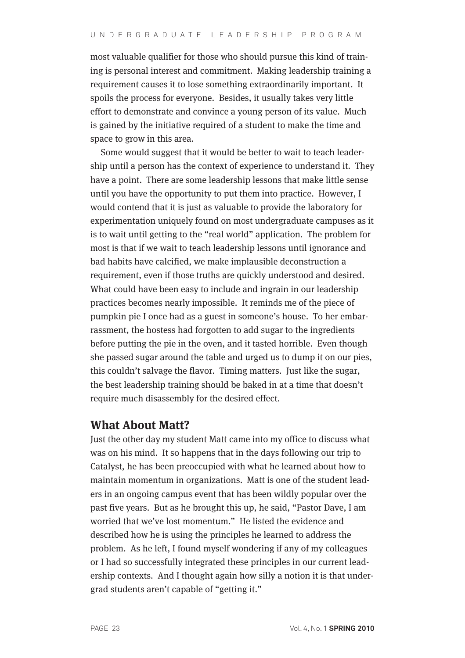most valuable qualifier for those who should pursue this kind of training is personal interest and commitment. Making leadership training a requirement causes it to lose something extraordinarily important. It spoils the process for everyone. Besides, it usually takes very little effort to demonstrate and convince a young person of its value. Much is gained by the initiative required of a student to make the time and space to grow in this area.

Some would suggest that it would be better to wait to teach leadership until a person has the context of experience to understand it. They have a point. There are some leadership lessons that make little sense until you have the opportunity to put them into practice. However, I would contend that it is just as valuable to provide the laboratory for experimentation uniquely found on most undergraduate campuses as it is to wait until getting to the "real world" application. The problem for most is that if we wait to teach leadership lessons until ignorance and bad habits have calcified, we make implausible deconstruction a requirement, even if those truths are quickly understood and desired. What could have been easy to include and ingrain in our leadership practices becomes nearly impossible. It reminds me of the piece of pumpkin pie I once had as a guest in someone's house. To her embarrassment, the hostess had forgotten to add sugar to the ingredients before putting the pie in the oven, and it tasted horrible. Even though she passed sugar around the table and urged us to dump it on our pies, this couldn't salvage the flavor. Timing matters. Just like the sugar, the best leadership training should be baked in at a time that doesn't require much disassembly for the desired effect.

#### **What About Matt?**

Just the other day my student Matt came into my office to discuss what was on his mind. It so happens that in the days following our trip to Catalyst, he has been preoccupied with what he learned about how to maintain momentum in organizations. Matt is one of the student leaders in an ongoing campus event that has been wildly popular over the past five years. But as he brought this up, he said, "Pastor Dave, I am worried that we've lost momentum." He listed the evidence and described how he is using the principles he learned to address the problem. As he left, I found myself wondering if any of my colleagues or I had so successfully integrated these principles in our current leadership contexts. And I thought again how silly a notion it is that undergrad students aren't capable of "getting it."